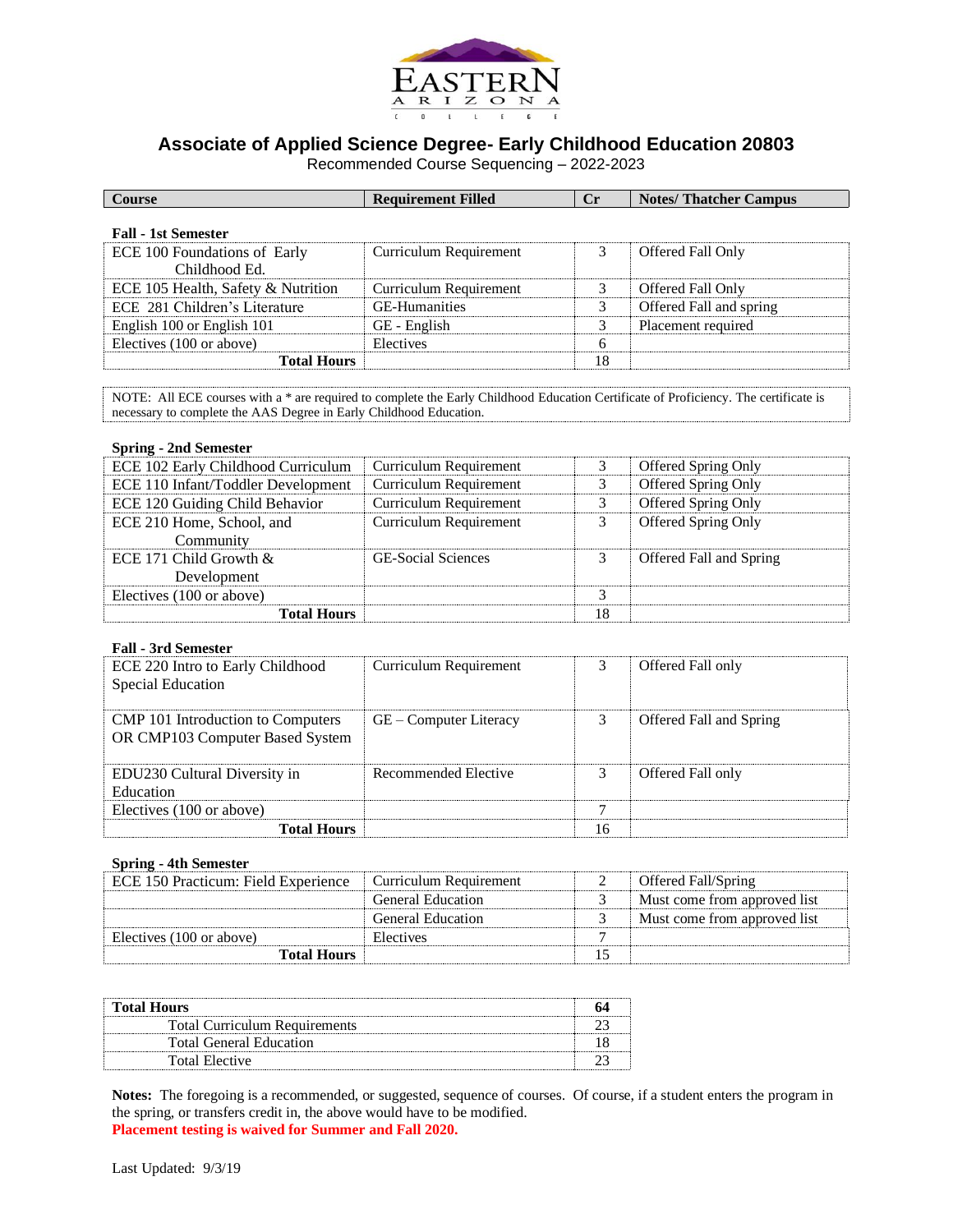

## **Associate of Applied Science Degree- Early Childhood Education 20803**

Recommended Course Sequencing – 2022-2023

| <b>Course</b>                                 | <b>Requirement Filled</b> | $C_{r}$ | <b>Notes/Thatcher Campus</b> |
|-----------------------------------------------|---------------------------|---------|------------------------------|
| <b>Fall - 1st Semester</b>                    |                           |         |                              |
| ECE 100 Foundations of Early<br>Childhood Ed. | Curriculum Requirement    |         | Offered Fall Only            |
| ECE 105 Health, Safety & Nutrition            | Curriculum Requirement    | 3       | Offered Fall Only            |
| ECE 281 Children's Literature                 | <b>GE-Humanities</b>      | 3       | Offered Fall and spring      |
| English 100 or English 101                    | GE - English              | 3       | Placement required           |
| Electives (100 or above)                      | Electives                 | 6       |                              |
| <b>Total Hours</b>                            |                           | 18      |                              |

NOTE: All ECE courses with a \* are required to complete the Early Childhood Education Certificate of Proficiency. The certificate is necessary to complete the AAS Degree in Early Childhood Education.

## **Spring - 2nd Semester**

| ECE 102 Early Childhood Curriculum | Curriculum Requirement        |    | <b>Offered Spring Only</b> |
|------------------------------------|-------------------------------|----|----------------------------|
| ECE 110 Infant/Toddler Development | <b>Curriculum Requirement</b> |    | Offered Spring Only        |
| ECE 120 Guiding Child Behavior     | Curriculum Requirement        | 3  | Offered Spring Only        |
| ECE 210 Home, School, and          | <b>Curriculum Requirement</b> |    | <b>Offered Spring Only</b> |
| Community                          |                               |    |                            |
| ECE 171 Child Growth $\&$          | <b>GE-Social Sciences</b>     |    | Offered Fall and Spring    |
| Development                        |                               |    |                            |
| Electives (100 or above)           |                               |    |                            |
| <b>Total Hours</b>                 |                               | 18 |                            |

## **Fall - 3rd Semester**

| ECE 220 Intro to Early Childhood<br>Special Education                       | Curriculum Requirement |    | Offered Fall only       |
|-----------------------------------------------------------------------------|------------------------|----|-------------------------|
| <b>CMP</b> 101 Introduction to Computers<br>OR CMP103 Computer Based System | GE – Computer Literacy |    | Offered Fall and Spring |
| EDU230 Cultural Diversity in<br>Education                                   | Recommended Elective   |    | Offered Fall only       |
| Electives (100 or above)                                                    |                        |    |                         |
| <b>Total Hours</b>                                                          |                        | 16 |                         |

## **Spring - 4th Semester**

| ECE 150 Practicum: Field Experience | Curriculum Requirement   | Offered Fall/Spring          |
|-------------------------------------|--------------------------|------------------------------|
|                                     | <b>General Education</b> | Must come from approved list |
|                                     | <b>General Education</b> | Must come from approved list |
| Electives (100 or above)            | Electives                |                              |
| <b>Total Hours</b>                  |                          |                              |

| <b>Total Hours</b>                   |  |
|--------------------------------------|--|
| <b>Total Curriculum Requirements</b> |  |
| <b>Total General Education</b>       |  |
| Total Elective                       |  |

**Notes:** The foregoing is a recommended, or suggested, sequence of courses. Of course, if a student enters the program in the spring, or transfers credit in, the above would have to be modified. **Placement testing is waived for Summer and Fall 2020.**